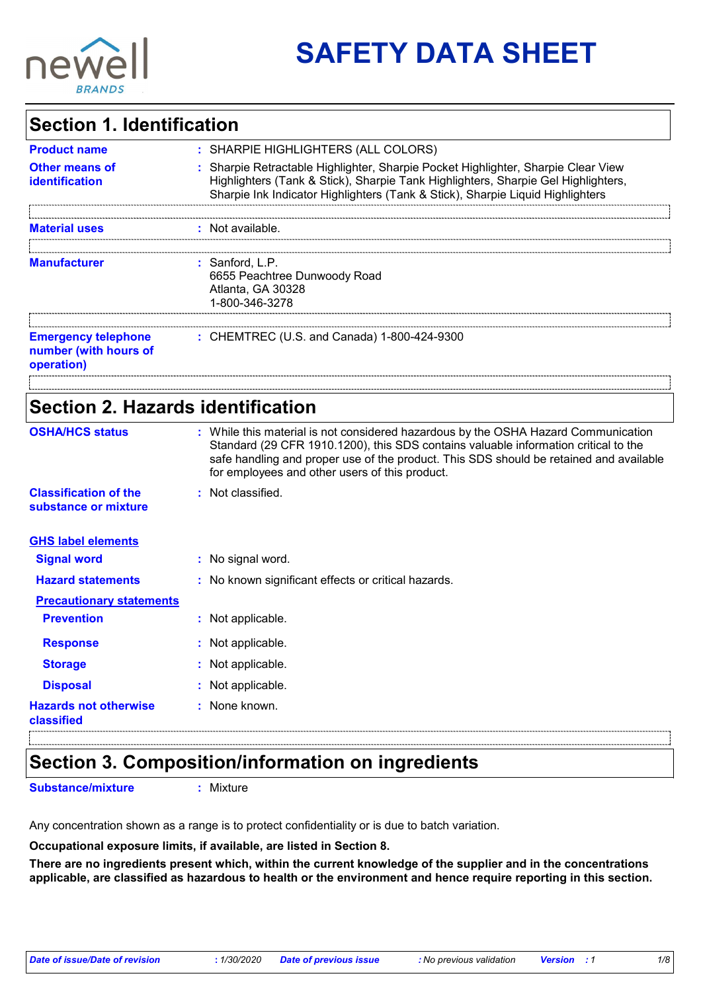

# **SAFETY DATA SHEET**

### **Section 1. Identification**

| <b>Product name</b>                                               | : SHARPIE HIGHLIGHTERS (ALL COLORS)                                                                                                                                                                                                                      |
|-------------------------------------------------------------------|----------------------------------------------------------------------------------------------------------------------------------------------------------------------------------------------------------------------------------------------------------|
| <b>Other means of</b><br>identification                           | : Sharpie Retractable Highlighter, Sharpie Pocket Highlighter, Sharpie Clear View<br>Highlighters (Tank & Stick), Sharpie Tank Highlighters, Sharpie Gel Highlighters,<br>Sharpie Ink Indicator Highlighters (Tank & Stick), Sharpie Liquid Highlighters |
| <b>Material uses</b>                                              | : Not available.                                                                                                                                                                                                                                         |
| <b>Manufacturer</b>                                               | $:$ Sanford, L.P.<br>6655 Peachtree Dunwoody Road<br>Atlanta, GA 30328<br>1-800-346-3278                                                                                                                                                                 |
| <b>Emergency telephone</b><br>number (with hours of<br>operation) | : CHEMTREC (U.S. and Canada) 1-800-424-9300                                                                                                                                                                                                              |
|                                                                   |                                                                                                                                                                                                                                                          |
| Section 2. Hazards identification                                 |                                                                                                                                                                                                                                                          |

| <b>OSHA/HCS status</b>                               | : While this material is not considered hazardous by the OSHA Hazard Communication<br>Standard (29 CFR 1910.1200), this SDS contains valuable information critical to the<br>safe handling and proper use of the product. This SDS should be retained and available<br>for employees and other users of this product. |
|------------------------------------------------------|-----------------------------------------------------------------------------------------------------------------------------------------------------------------------------------------------------------------------------------------------------------------------------------------------------------------------|
| <b>Classification of the</b><br>substance or mixture | : Not classified.                                                                                                                                                                                                                                                                                                     |
| <b>GHS label elements</b>                            |                                                                                                                                                                                                                                                                                                                       |
| <b>Signal word</b>                                   | : No signal word.                                                                                                                                                                                                                                                                                                     |
| <b>Hazard statements</b>                             | : No known significant effects or critical hazards.                                                                                                                                                                                                                                                                   |
| <b>Precautionary statements</b>                      |                                                                                                                                                                                                                                                                                                                       |
| <b>Prevention</b>                                    | : Not applicable.                                                                                                                                                                                                                                                                                                     |
| <b>Response</b>                                      | : Not applicable.                                                                                                                                                                                                                                                                                                     |
| <b>Storage</b>                                       | : Not applicable.                                                                                                                                                                                                                                                                                                     |
| <b>Disposal</b>                                      | : Not applicable.                                                                                                                                                                                                                                                                                                     |
| <b>Hazards not otherwise</b><br>classified           | : None known.                                                                                                                                                                                                                                                                                                         |

## **Section 3. Composition/information on ingredients**

**Substance/mixture :** Mixture

Any concentration shown as a range is to protect confidentiality or is due to batch variation.

#### **Occupational exposure limits, if available, are listed in Section 8.**

**There are no ingredients present which, within the current knowledge of the supplier and in the concentrations applicable, are classified as hazardous to health or the environment and hence require reporting in this section.**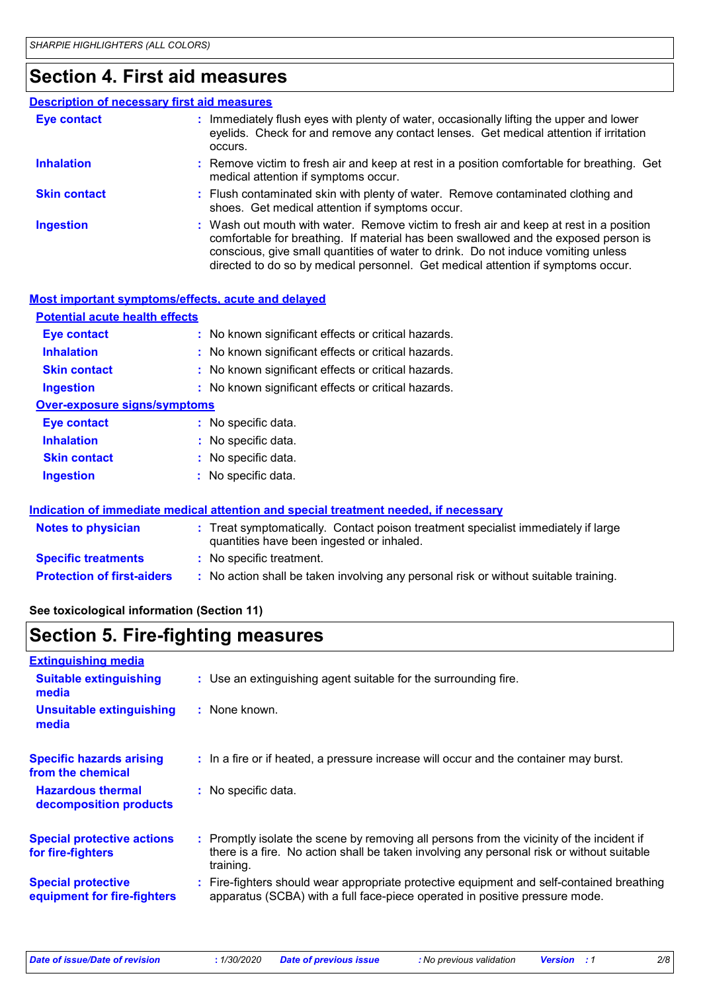### **Section 4. First aid measures**

#### Wash out mouth with water. Remove victim to fresh air and keep at rest in a position comfortable for breathing. If material has been swallowed and the exposed person is conscious, give small quantities of water to drink. Do not induce vomiting unless directed to do so by medical personnel. Get medical attention if symptoms occur. **:** Immediately flush eyes with plenty of water, occasionally lifting the upper and lower eyelids. Check for and remove any contact lenses. Get medical attention if irritation occurs. Flush contaminated skin with plenty of water. Remove contaminated clothing and **:** shoes. Get medical attention if symptoms occur. Remove victim to fresh air and keep at rest in a position comfortable for breathing. Get **:** medical attention if symptoms occur. **Eye contact Skin contact Inhalation Ingestion : Description of necessary first aid measures**

| Most important symptoms/effects, acute and delayed |                                                                                                                                |
|----------------------------------------------------|--------------------------------------------------------------------------------------------------------------------------------|
| <b>Potential acute health effects</b>              |                                                                                                                                |
| Eye contact                                        | : No known significant effects or critical hazards.                                                                            |
| <b>Inhalation</b>                                  | : No known significant effects or critical hazards.                                                                            |
| <b>Skin contact</b>                                | : No known significant effects or critical hazards.                                                                            |
| <b>Ingestion</b>                                   | : No known significant effects or critical hazards.                                                                            |
| <b>Over-exposure signs/symptoms</b>                |                                                                                                                                |
| <b>Eye contact</b>                                 | : No specific data.                                                                                                            |
| <b>Inhalation</b>                                  | : No specific data.                                                                                                            |
| <b>Skin contact</b>                                | : No specific data.                                                                                                            |
| <b>Ingestion</b>                                   | $:$ No specific data.                                                                                                          |
|                                                    |                                                                                                                                |
|                                                    | <u>Indication of immediate medical attention and special treatment needed, if necessary</u>                                    |
| <b>Notes to physician</b>                          | : Treat symptomatically. Contact poison treatment specialist immediately if large<br>quantities have been ingested or inhaled. |
| <b>Specific treatments</b>                         | : No specific treatment.                                                                                                       |
| <b>Protection of first-aiders</b>                  | : No action shall be taken involving any personal risk or without suitable training.                                           |

#### **See toxicological information (Section 11)**

### **Section 5. Fire-fighting measures**

| <b>Extinguishing media</b>                               |                                                                                                                                                                                                     |
|----------------------------------------------------------|-----------------------------------------------------------------------------------------------------------------------------------------------------------------------------------------------------|
| <b>Suitable extinguishing</b><br>media                   | : Use an extinguishing agent suitable for the surrounding fire.                                                                                                                                     |
| <b>Unsuitable extinguishing</b><br>media                 | : None known.                                                                                                                                                                                       |
| <b>Specific hazards arising</b><br>from the chemical     | : In a fire or if heated, a pressure increase will occur and the container may burst.                                                                                                               |
| <b>Hazardous thermal</b><br>decomposition products       | : No specific data.                                                                                                                                                                                 |
| <b>Special protective actions</b><br>for fire-fighters   | : Promptly isolate the scene by removing all persons from the vicinity of the incident if<br>there is a fire. No action shall be taken involving any personal risk or without suitable<br>training. |
| <b>Special protective</b><br>equipment for fire-fighters | Fire-fighters should wear appropriate protective equipment and self-contained breathing<br>apparatus (SCBA) with a full face-piece operated in positive pressure mode.                              |

*Date of issue/Date of revision* **:** *1/30/2020 Date of previous issue : No previous validation Version : 1 2/8*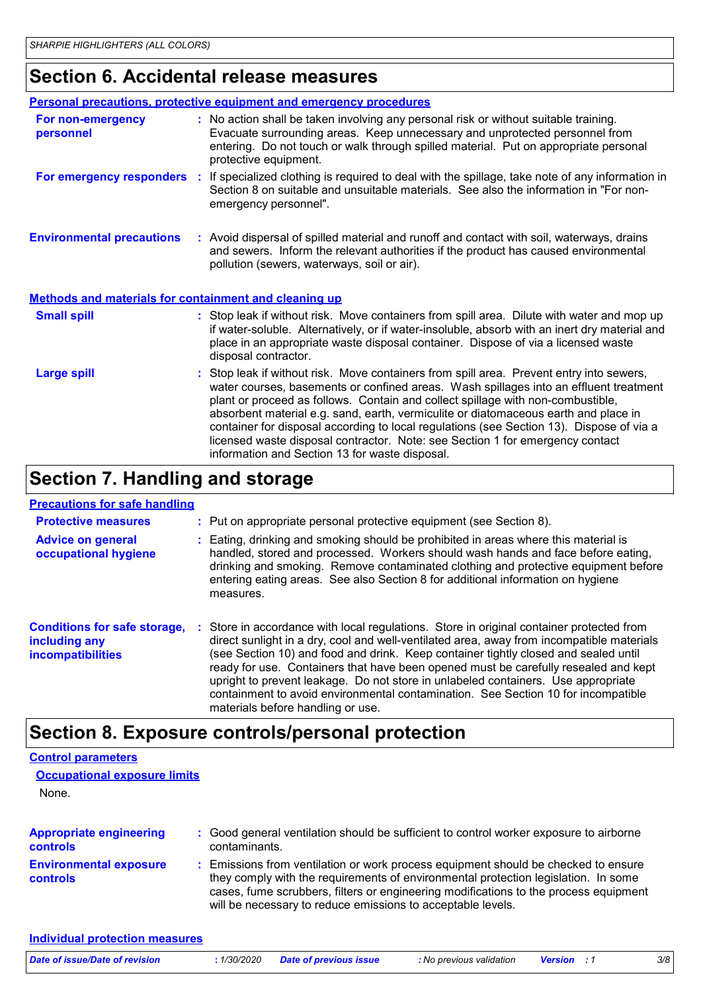## **Section 6. Accidental release measures**

|                                                       | <b>Personal precautions, protective equipment and emergency procedures</b>                                                                                                                                                                                                                                                                                                                                                                                                                                                                                                                 |
|-------------------------------------------------------|--------------------------------------------------------------------------------------------------------------------------------------------------------------------------------------------------------------------------------------------------------------------------------------------------------------------------------------------------------------------------------------------------------------------------------------------------------------------------------------------------------------------------------------------------------------------------------------------|
| For non-emergency<br>personnel                        | : No action shall be taken involving any personal risk or without suitable training.<br>Evacuate surrounding areas. Keep unnecessary and unprotected personnel from<br>entering. Do not touch or walk through spilled material. Put on appropriate personal<br>protective equipment.                                                                                                                                                                                                                                                                                                       |
| For emergency responders :                            | If specialized clothing is required to deal with the spillage, take note of any information in<br>Section 8 on suitable and unsuitable materials. See also the information in "For non-<br>emergency personnel".                                                                                                                                                                                                                                                                                                                                                                           |
| <b>Environmental precautions</b>                      | : Avoid dispersal of spilled material and runoff and contact with soil, waterways, drains<br>and sewers. Inform the relevant authorities if the product has caused environmental<br>pollution (sewers, waterways, soil or air).                                                                                                                                                                                                                                                                                                                                                            |
| Methods and materials for containment and cleaning up |                                                                                                                                                                                                                                                                                                                                                                                                                                                                                                                                                                                            |
| <b>Small spill</b>                                    | : Stop leak if without risk. Move containers from spill area. Dilute with water and mop up<br>if water-soluble. Alternatively, or if water-insoluble, absorb with an inert dry material and<br>place in an appropriate waste disposal container. Dispose of via a licensed waste<br>disposal contractor.                                                                                                                                                                                                                                                                                   |
| <b>Large spill</b>                                    | : Stop leak if without risk. Move containers from spill area. Prevent entry into sewers,<br>water courses, basements or confined areas. Wash spillages into an effluent treatment<br>plant or proceed as follows. Contain and collect spillage with non-combustible,<br>absorbent material e.g. sand, earth, vermiculite or diatomaceous earth and place in<br>container for disposal according to local regulations (see Section 13). Dispose of via a<br>licensed waste disposal contractor. Note: see Section 1 for emergency contact<br>information and Section 13 for waste disposal. |

## **Section 7. Handling and storage**

#### **Precautions for safe handling**

| <b>Protective measures</b>                                                | : Put on appropriate personal protective equipment (see Section 8).                                                                                                                                                                                                                                                                                                                                                                                                                                                                                                              |
|---------------------------------------------------------------------------|----------------------------------------------------------------------------------------------------------------------------------------------------------------------------------------------------------------------------------------------------------------------------------------------------------------------------------------------------------------------------------------------------------------------------------------------------------------------------------------------------------------------------------------------------------------------------------|
| <b>Advice on general</b><br>occupational hygiene                          | : Eating, drinking and smoking should be prohibited in areas where this material is<br>handled, stored and processed. Workers should wash hands and face before eating,<br>drinking and smoking. Remove contaminated clothing and protective equipment before<br>entering eating areas. See also Section 8 for additional information on hygiene<br>measures.                                                                                                                                                                                                                    |
| <b>Conditions for safe storage,</b><br>including any<br>incompatibilities | Store in accordance with local regulations. Store in original container protected from<br>direct sunlight in a dry, cool and well-ventilated area, away from incompatible materials<br>(see Section 10) and food and drink. Keep container tightly closed and sealed until<br>ready for use. Containers that have been opened must be carefully resealed and kept<br>upright to prevent leakage. Do not store in unlabeled containers. Use appropriate<br>containment to avoid environmental contamination. See Section 10 for incompatible<br>materials before handling or use. |

## **Section 8. Exposure controls/personal protection**

| <b>Control parameters</b><br><b>Occupational exposure limits</b><br>None. |                                                                                                                                                                                                                                                                                                                                 |  |
|---------------------------------------------------------------------------|---------------------------------------------------------------------------------------------------------------------------------------------------------------------------------------------------------------------------------------------------------------------------------------------------------------------------------|--|
| <b>Appropriate engineering</b><br><b>controls</b>                         | : Good general ventilation should be sufficient to control worker exposure to airborne<br>contaminants.                                                                                                                                                                                                                         |  |
| <b>Environmental exposure</b><br><b>controls</b>                          | : Emissions from ventilation or work process equipment should be checked to ensure<br>they comply with the requirements of environmental protection legislation. In some<br>cases, fume scrubbers, filters or engineering modifications to the process equipment<br>will be necessary to reduce emissions to acceptable levels. |  |

| Date of issue/Date of revision | : 1/30/2020 Date of previous issue | : No previous validation | <b>Version</b> : 1 | 3/8 |
|--------------------------------|------------------------------------|--------------------------|--------------------|-----|
|                                |                                    |                          |                    |     |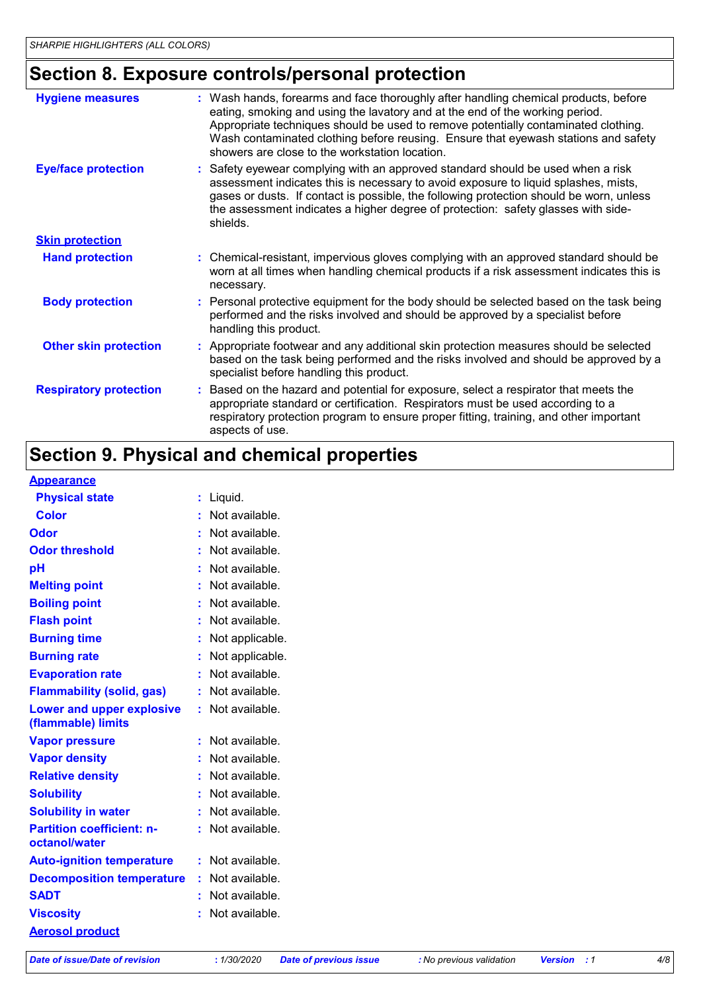## **Section 8. Exposure controls/personal protection**

| <b>Hygiene measures</b>       | : Wash hands, forearms and face thoroughly after handling chemical products, before<br>eating, smoking and using the lavatory and at the end of the working period.<br>Appropriate techniques should be used to remove potentially contaminated clothing.<br>Wash contaminated clothing before reusing. Ensure that eyewash stations and safety<br>showers are close to the workstation location. |
|-------------------------------|---------------------------------------------------------------------------------------------------------------------------------------------------------------------------------------------------------------------------------------------------------------------------------------------------------------------------------------------------------------------------------------------------|
| <b>Eye/face protection</b>    | : Safety eyewear complying with an approved standard should be used when a risk<br>assessment indicates this is necessary to avoid exposure to liquid splashes, mists,<br>gases or dusts. If contact is possible, the following protection should be worn, unless<br>the assessment indicates a higher degree of protection: safety glasses with side-<br>shields.                                |
| <b>Skin protection</b>        |                                                                                                                                                                                                                                                                                                                                                                                                   |
| <b>Hand protection</b>        | : Chemical-resistant, impervious gloves complying with an approved standard should be<br>worn at all times when handling chemical products if a risk assessment indicates this is<br>necessary.                                                                                                                                                                                                   |
| <b>Body protection</b>        | : Personal protective equipment for the body should be selected based on the task being<br>performed and the risks involved and should be approved by a specialist before<br>handling this product.                                                                                                                                                                                               |
| <b>Other skin protection</b>  | : Appropriate footwear and any additional skin protection measures should be selected<br>based on the task being performed and the risks involved and should be approved by a<br>specialist before handling this product.                                                                                                                                                                         |
| <b>Respiratory protection</b> | : Based on the hazard and potential for exposure, select a respirator that meets the<br>appropriate standard or certification. Respirators must be used according to a<br>respiratory protection program to ensure proper fitting, training, and other important<br>aspects of use.                                                                                                               |

## **Section 9. Physical and chemical properties**

#### **Appearance**

| <b>Physical state</b>            |    | Liquid.         |
|----------------------------------|----|-----------------|
| Color                            |    | Not available.  |
| Odor                             |    | Not available.  |
| <b>Odor threshold</b>            |    | Not available.  |
| рH                               |    | Not available.  |
| <b>Melting point</b>             |    | Not available.  |
| <b>Boiling point</b>             |    | Not available.  |
| <b>Flash point</b>               |    | Not available.  |
| <b>Burning time</b>              |    | Not applicable. |
| <b>Burning rate</b>              |    | Not applicable. |
| <b>Evaporation rate</b>          |    | Not available.  |
| <b>Flammability (solid, gas)</b> | t. | Not available.  |
| Lower and upper explosive        |    | Not available.  |
| (flammable) limits               |    |                 |
| <b>Vapor pressure</b>            |    | Not available.  |
| <b>Vapor density</b>             |    | Not available.  |
| <b>Relative density</b>          |    | Not available.  |
| <b>Solubility</b>                |    | Not available.  |
| <b>Solubility in water</b>       |    | Not available.  |
| <b>Partition coefficient: n-</b> |    | Not available.  |
| octanol/water                    |    |                 |
| <b>Auto-ignition temperature</b> |    | Not available.  |
| <b>Decomposition temperature</b> |    | Not available.  |
| <b>SADT</b>                      |    | Not available.  |
| <b>Viscosity</b>                 |    | Not available.  |
| <b>Aerosol product</b>           |    |                 |

*Date of issue/Date of revision* **:** *1/30/2020 Date of previous issue : No previous validation Version : 1 4/8*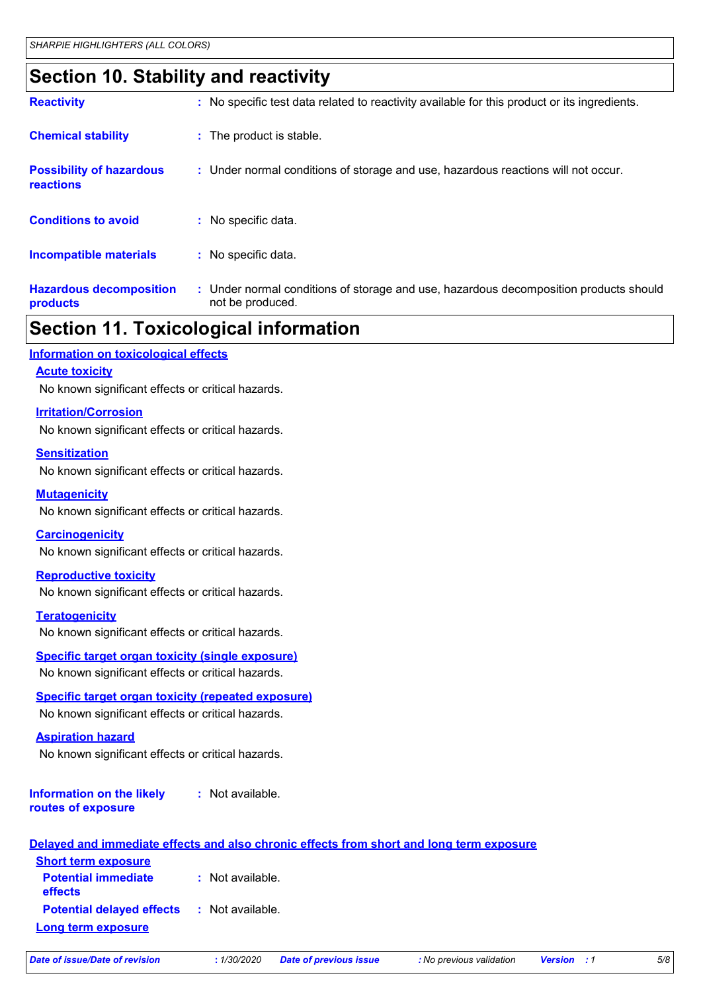## **Section 10. Stability and reactivity**

| <b>Reactivity</b>                                   | : No specific test data related to reactivity available for this product or its ingredients.              |
|-----------------------------------------------------|-----------------------------------------------------------------------------------------------------------|
| <b>Chemical stability</b>                           | : The product is stable.                                                                                  |
| <b>Possibility of hazardous</b><br><b>reactions</b> | : Under normal conditions of storage and use, hazardous reactions will not occur.                         |
| <b>Conditions to avoid</b>                          | $:$ No specific data.                                                                                     |
| <b>Incompatible materials</b>                       | : No specific data.                                                                                       |
| <b>Hazardous decomposition</b><br>products          | : Under normal conditions of storage and use, hazardous decomposition products should<br>not be produced. |

### **Section 11. Toxicological information**

#### **Information on toxicological effects**

#### **Acute toxicity**

No known significant effects or critical hazards.

#### **Irritation/Corrosion**

No known significant effects or critical hazards.

#### **Sensitization**

No known significant effects or critical hazards.

#### **Mutagenicity**

No known significant effects or critical hazards.

#### **Carcinogenicity**

No known significant effects or critical hazards.

#### **Reproductive toxicity**

No known significant effects or critical hazards.

#### **Teratogenicity**

No known significant effects or critical hazards.

#### **Specific target organ toxicity (single exposure)**

No known significant effects or critical hazards.

#### **Specific target organ toxicity (repeated exposure)**

No known significant effects or critical hazards.

#### **Aspiration hazard**

No known significant effects or critical hazards.

#### **Information on the likely routes of exposure :** Not available.

|                                                                         | Delayed and immediate effects and also chronic effects from short and long term exposure |
|-------------------------------------------------------------------------|------------------------------------------------------------------------------------------|
| <b>Short term exposure</b>                                              |                                                                                          |
| <b>Potential immediate</b><br><b>effects</b>                            | : Not available.                                                                         |
| <b>Potential delayed effects : Not available.</b><br>Long term exposure |                                                                                          |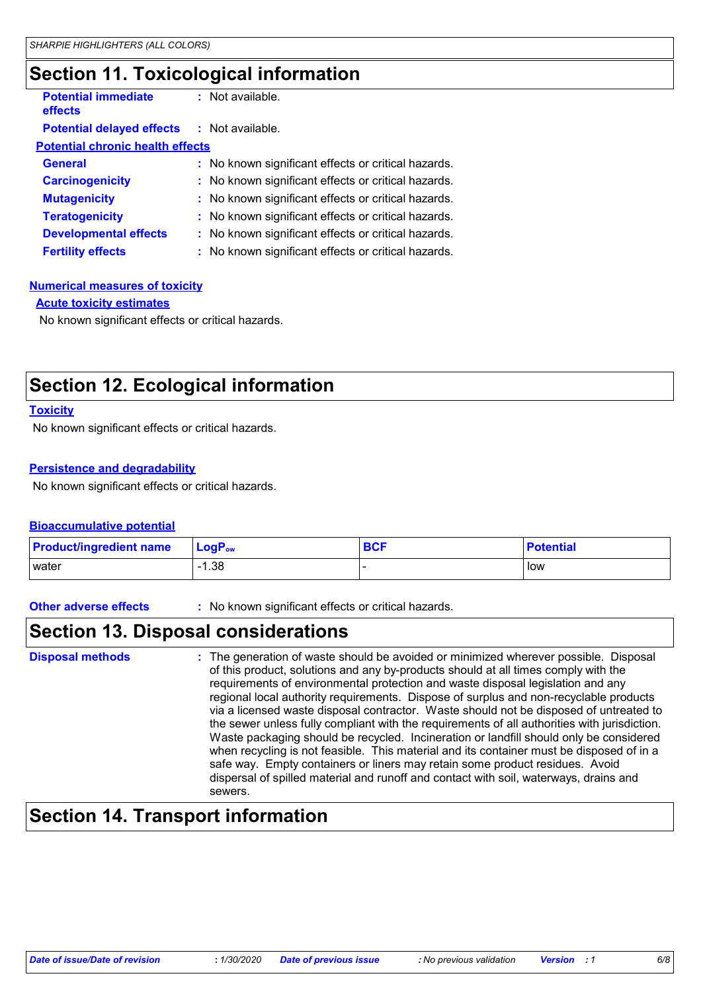## **Section 11. Toxicological information**

| <b>Potential immediate</b><br>effects             | : Not available.                                    |  |
|---------------------------------------------------|-----------------------------------------------------|--|
| <b>Potential delayed effects : Not available.</b> |                                                     |  |
| <b>Potential chronic health effects</b>           |                                                     |  |
| <b>General</b>                                    | : No known significant effects or critical hazards. |  |
| <b>Carcinogenicity</b>                            | : No known significant effects or critical hazards. |  |
| <b>Mutagenicity</b>                               | : No known significant effects or critical hazards. |  |
| <b>Teratogenicity</b>                             | : No known significant effects or critical hazards. |  |
| <b>Developmental effects</b>                      | : No known significant effects or critical hazards. |  |
| <b>Fertility effects</b>                          | : No known significant effects or critical hazards. |  |

#### **Numerical measures of toxicity**

**Acute toxicity estimates**

No known significant effects or critical hazards.

## **Section 12. Ecological information**

#### **Toxicity**

No known significant effects or critical hazards.

#### **Persistence and degradability**

No known significant effects or critical hazards.

#### **Bioaccumulative potential**

| <b>Product/ingredient name</b> | $\mathsf{LogP}_\mathsf{ow}$ | <b>BCF</b> | <b>Potential</b> |
|--------------------------------|-----------------------------|------------|------------------|
| l water                        | $-1.38$                     |            | l low            |

**Other adverse effects** : No known significant effects or critical hazards.

### **Section 13. Disposal considerations**

| <b>Disposal methods</b> | : The generation of waste should be avoided or minimized wherever possible. Disposal<br>of this product, solutions and any by-products should at all times comply with the<br>requirements of environmental protection and waste disposal legislation and any<br>regional local authority requirements. Dispose of surplus and non-recyclable products<br>via a licensed waste disposal contractor. Waste should not be disposed of untreated to<br>the sewer unless fully compliant with the requirements of all authorities with jurisdiction.<br>Waste packaging should be recycled. Incineration or landfill should only be considered<br>when recycling is not feasible. This material and its container must be disposed of in a<br>safe way. Empty containers or liners may retain some product residues. Avoid<br>dispersal of spilled material and runoff and contact with soil, waterways, drains and<br>sewers. |
|-------------------------|----------------------------------------------------------------------------------------------------------------------------------------------------------------------------------------------------------------------------------------------------------------------------------------------------------------------------------------------------------------------------------------------------------------------------------------------------------------------------------------------------------------------------------------------------------------------------------------------------------------------------------------------------------------------------------------------------------------------------------------------------------------------------------------------------------------------------------------------------------------------------------------------------------------------------|
|-------------------------|----------------------------------------------------------------------------------------------------------------------------------------------------------------------------------------------------------------------------------------------------------------------------------------------------------------------------------------------------------------------------------------------------------------------------------------------------------------------------------------------------------------------------------------------------------------------------------------------------------------------------------------------------------------------------------------------------------------------------------------------------------------------------------------------------------------------------------------------------------------------------------------------------------------------------|

### **Section 14. Transport information**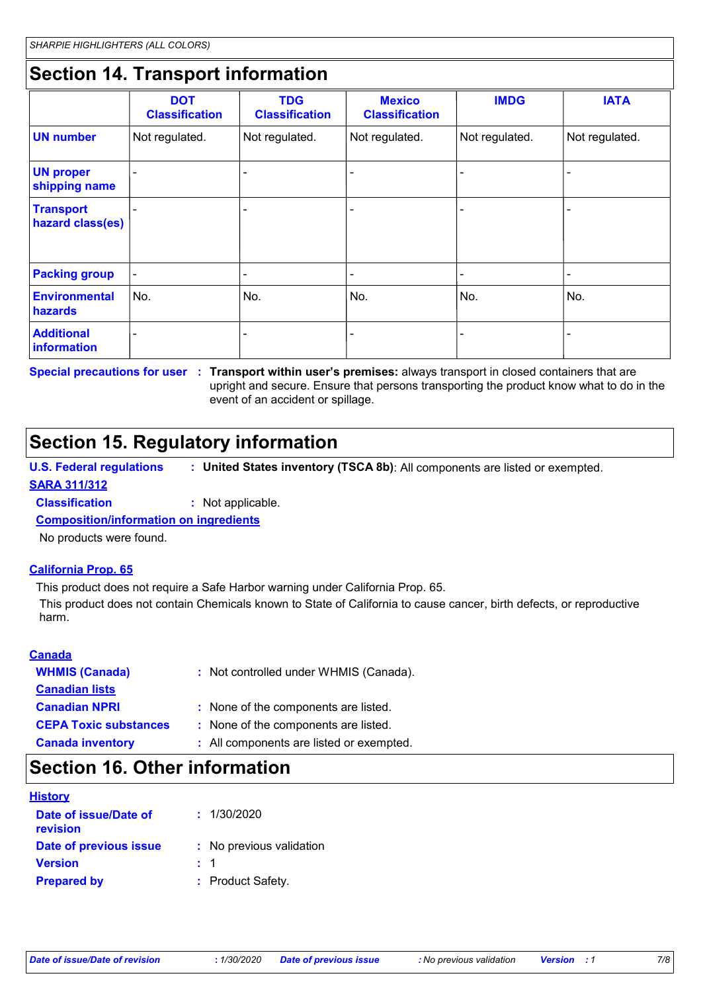## **Section 14. Transport information**

|                                        | <b>DOT</b><br><b>Classification</b> | <b>TDG</b><br><b>Classification</b> | <b>Mexico</b><br><b>Classification</b> | <b>IMDG</b>    | <b>IATA</b>    |
|----------------------------------------|-------------------------------------|-------------------------------------|----------------------------------------|----------------|----------------|
| <b>UN number</b>                       | Not regulated.                      | Not regulated.                      | Not regulated.                         | Not regulated. | Not regulated. |
| <b>UN proper</b><br>shipping name      |                                     |                                     |                                        |                |                |
| <b>Transport</b><br>hazard class(es)   |                                     | -                                   |                                        |                |                |
| <b>Packing group</b>                   | $\blacksquare$                      | ٠                                   | $\overline{\phantom{a}}$               |                |                |
| <b>Environmental</b><br><b>hazards</b> | No.                                 | No.                                 | No.                                    | No.            | No.            |
| <b>Additional</b><br>information       |                                     |                                     |                                        |                |                |

**Special precautions for user Transport within user's premises:** always transport in closed containers that are **:** upright and secure. Ensure that persons transporting the product know what to do in the event of an accident or spillage.

## **Section 15. Regulatory information**

**U.S. Federal regulations : United States inventory (TSCA 8b)**: All components are listed or exempted.

#### **SARA 311/312**

**Classification :** Not applicable.

**Composition/information on ingredients**

No products were found.

#### **California Prop. 65**

This product does not require a Safe Harbor warning under California Prop. 65.

This product does not contain Chemicals known to State of California to cause cancer, birth defects, or reproductive harm.

| <b>Canada</b>                |                                          |
|------------------------------|------------------------------------------|
| <b>WHMIS (Canada)</b>        | : Not controlled under WHMIS (Canada).   |
| <b>Canadian lists</b>        |                                          |
| <b>Canadian NPRI</b>         | : None of the components are listed.     |
| <b>CEPA Toxic substances</b> | : None of the components are listed.     |
| <b>Canada inventory</b>      | : All components are listed or exempted. |

### **Section 16. Other information**

| <b>History</b>                    |                          |
|-----------------------------------|--------------------------|
| Date of issue/Date of<br>revision | : 1/30/2020              |
| Date of previous issue            | : No previous validation |
| <b>Version</b>                    | $\pm$ 1                  |
| <b>Prepared by</b>                | : Product Safety.        |